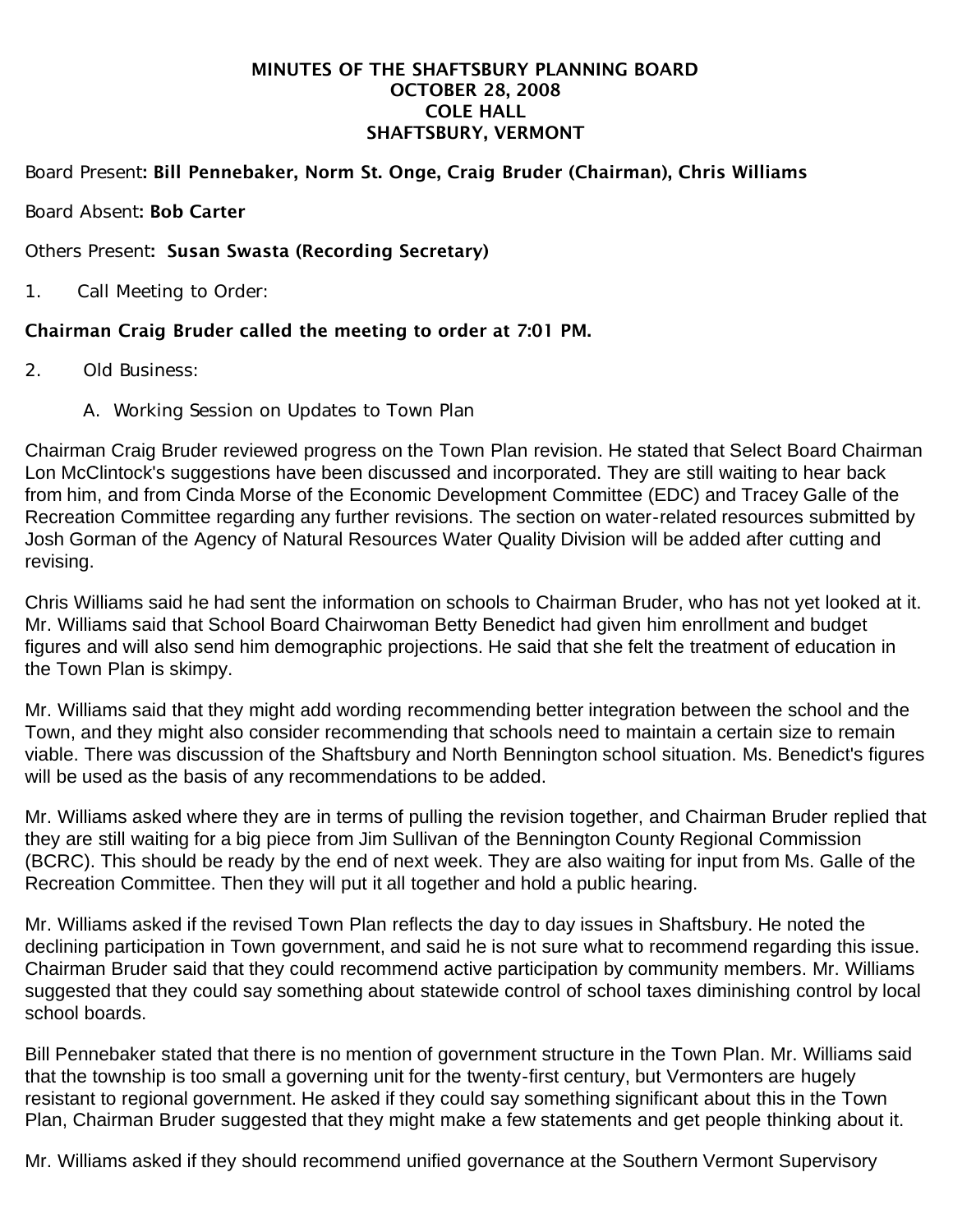#### MINUTES OF THE SHAFTSBURY PLANNING BOARD OCTOBER 28, 2008 COLE HALL SHAFTSBURY, VERMONT

## Board Present: Bill Pennebaker, Norm St. Onge, Craig Bruder (Chairman), Chris Williams

### Board Absent: Bob Carter

#### Others Present: Susan Swasta (Recording Secretary)

1. Call Meeting to Order:

### Chairman Craig Bruder called the meeting to order at 7:01 PM.

- 2. Old Business:
	- A. Working Session on Updates to Town Plan

Chairman Craig Bruder reviewed progress on the Town Plan revision. He stated that Select Board Chairman Lon McClintock's suggestions have been discussed and incorporated. They are still waiting to hear back from him, and from Cinda Morse of the Economic Development Committee (EDC) and Tracey Galle of the Recreation Committee regarding any further revisions. The section on water-related resources submitted by Josh Gorman of the Agency of Natural Resources Water Quality Division will be added after cutting and revising.

Chris Williams said he had sent the information on schools to Chairman Bruder, who has not yet looked at it. Mr. Williams said that School Board Chairwoman Betty Benedict had given him enrollment and budget figures and will also send him demographic projections. He said that she felt the treatment of education in the Town Plan is skimpy.

Mr. Williams said that they might add wording recommending better integration between the school and the Town, and they might also consider recommending that schools need to maintain a certain size to remain viable. There was discussion of the Shaftsbury and North Bennington school situation. Ms. Benedict's figures will be used as the basis of any recommendations to be added.

Mr. Williams asked where they are in terms of pulling the revision together, and Chairman Bruder replied that they are still waiting for a big piece from Jim Sullivan of the Bennington County Regional Commission (BCRC). This should be ready by the end of next week. They are also waiting for input from Ms. Galle of the Recreation Committee. Then they will put it all together and hold a public hearing.

Mr. Williams asked if the revised Town Plan reflects the day to day issues in Shaftsbury. He noted the declining participation in Town government, and said he is not sure what to recommend regarding this issue. Chairman Bruder said that they could recommend active participation by community members. Mr. Williams suggested that they could say something about statewide control of school taxes diminishing control by local school boards.

Bill Pennebaker stated that there is no mention of government structure in the Town Plan. Mr. Williams said that the township is too small a governing unit for the twenty-first century, but Vermonters are hugely resistant to regional government. He asked if they could say something significant about this in the Town Plan, Chairman Bruder suggested that they might make a few statements and get people thinking about it.

Mr. Williams asked if they should recommend unified governance at the Southern Vermont Supervisory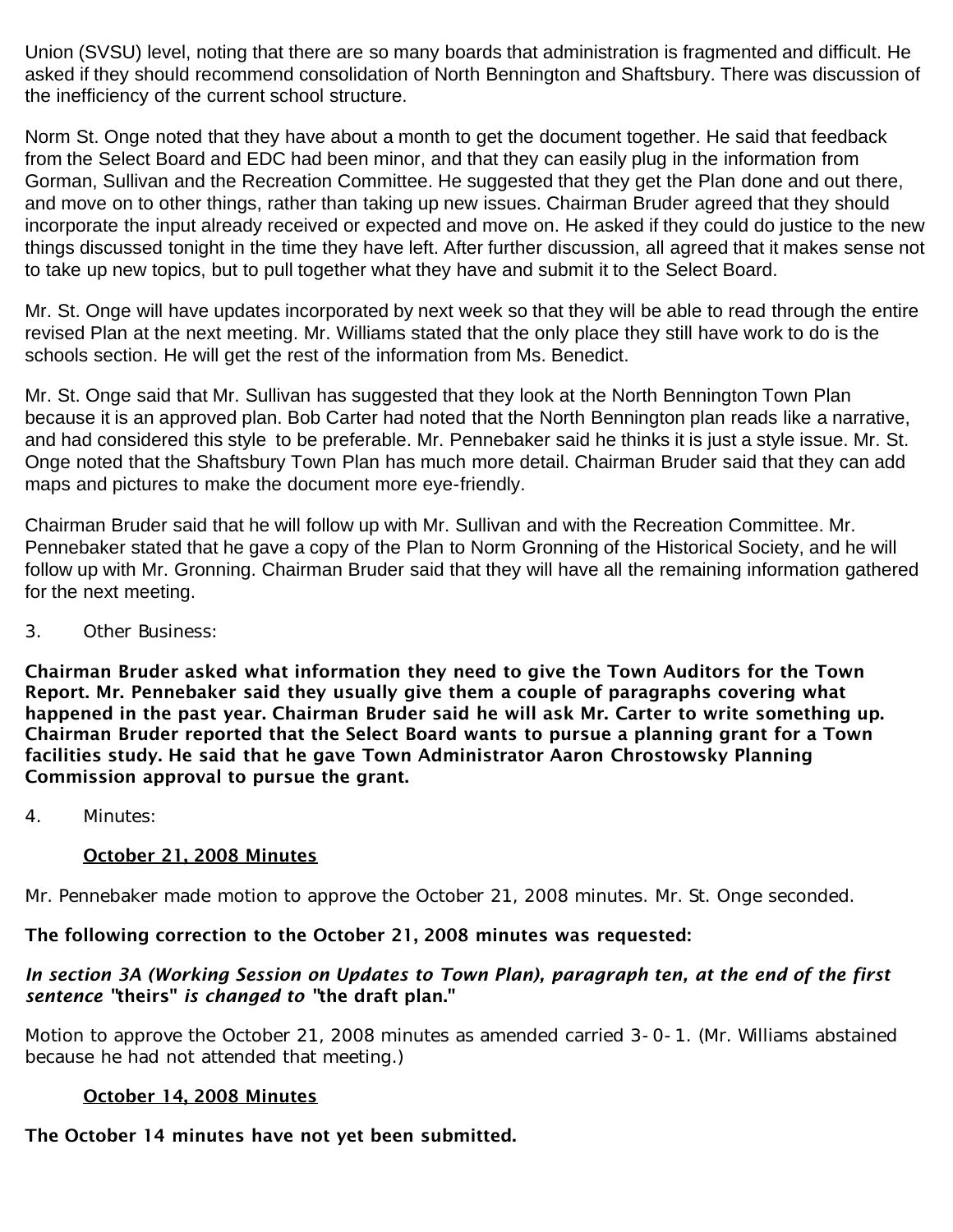Union (SVSU) level, noting that there are so many boards that administration is fragmented and difficult. He asked if they should recommend consolidation of North Bennington and Shaftsbury. There was discussion of the inefficiency of the current school structure.

Norm St. Onge noted that they have about a month to get the document together. He said that feedback from the Select Board and EDC had been minor, and that they can easily plug in the information from Gorman, Sullivan and the Recreation Committee. He suggested that they get the Plan done and out there, and move on to other things, rather than taking up new issues. Chairman Bruder agreed that they should incorporate the input already received or expected and move on. He asked if they could do justice to the new things discussed tonight in the time they have left. After further discussion, all agreed that it makes sense not to take up new topics, but to pull together what they have and submit it to the Select Board.

Mr. St. Onge will have updates incorporated by next week so that they will be able to read through the entire revised Plan at the next meeting. Mr. Williams stated that the only place they still have work to do is the schools section. He will get the rest of the information from Ms. Benedict.

Mr. St. Onge said that Mr. Sullivan has suggested that they look at the North Bennington Town Plan because it is an approved plan. Bob Carter had noted that the North Bennington plan reads like a narrative, and had considered this style to be preferable. Mr. Pennebaker said he thinks it is just a style issue. Mr. St. Onge noted that the Shaftsbury Town Plan has much more detail. Chairman Bruder said that they can add maps and pictures to make the document more eye-friendly.

Chairman Bruder said that he will follow up with Mr. Sullivan and with the Recreation Committee. Mr. Pennebaker stated that he gave a copy of the Plan to Norm Gronning of the Historical Society, and he will follow up with Mr. Gronning. Chairman Bruder said that they will have all the remaining information gathered for the next meeting.

3. Other Business:

Chairman Bruder asked what information they need to give the Town Auditors for the Town Report. Mr. Pennebaker said they usually give them a couple of paragraphs covering what happened in the past year. Chairman Bruder said he will ask Mr. Carter to write something up. Chairman Bruder reported that the Select Board wants to pursue a planning grant for a Town facilities study. He said that he gave Town Administrator Aaron Chrostowsky Planning Commission approval to pursue the grant.

4. Minutes:

# October 21, 2008 Minutes

Mr. Pennebaker made motion to approve the October 21, 2008 minutes. Mr. St. Onge seconded.

# The following correction to the October 21, 2008 minutes was requested:

### *In section 3A (Working Session on Updates to Town Plan), paragraph ten, at the end of the first sentence "*theirs" *is changed to "*the draft plan."

Motion to approve the October 21, 2008 minutes as amended carried 3-0-1. (Mr. Williams abstained because he had not attended that meeting.)

#### October 14, 2008 Minutes

# The October 14 minutes have not yet been submitted.